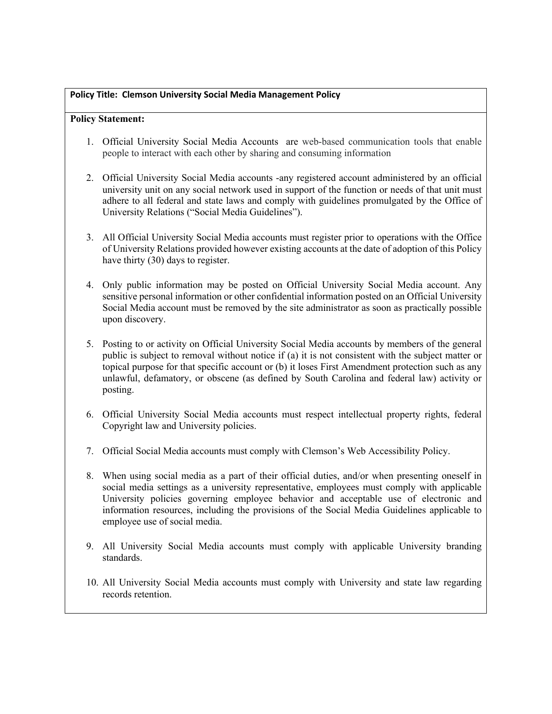## **Policy Title: Clemson University Social Media Management Policy**

## **Policy Statement:**

- 1. Official University Social Media Accounts are web-based communication tools that enable people to interact with each other by sharing and consuming information
- 2. Official University Social Media accounts -any registered account administered by an official university unit on any social network used in support of the function or needs of that unit must adhere to all federal and state laws and comply with guidelines promulgated by the Office of University Relations ("Social Media Guidelines").
- 3. All Official University Social Media accounts must register prior to operations with the Office of University Relations provided however existing accounts at the date of adoption of this Policy have thirty (30) days to register.
- 4. Only public information may be posted on Official University Social Media account. Any sensitive personal information or other confidential information posted on an Official University Social Media account must be removed by the site administrator as soon as practically possible upon discovery.
- 5. Posting to or activity on Official University Social Media accounts by members of the general public is subject to removal without notice if (a) it is not consistent with the subject matter or topical purpose for that specific account or (b) it loses First Amendment protection such as any unlawful, defamatory, or obscene (as defined by South Carolina and federal law) activity or posting.
- 6. Official University Social Media accounts must respect intellectual property rights, federal Copyright law and University policies.
- 7. Official Social Media accounts must comply with Clemson's Web Accessibility Policy.
- 8. When using social media as a part of their official duties, and/or when presenting oneself in social media settings as a university representative, employees must comply with applicable University policies governing employee behavior and acceptable use of electronic and information resources, including the provisions of the Social Media Guidelines applicable to employee use of social media.
- 9. All University Social Media accounts must comply with applicable University branding standards.
- 10. All University Social Media accounts must comply with University and state law regarding records retention.